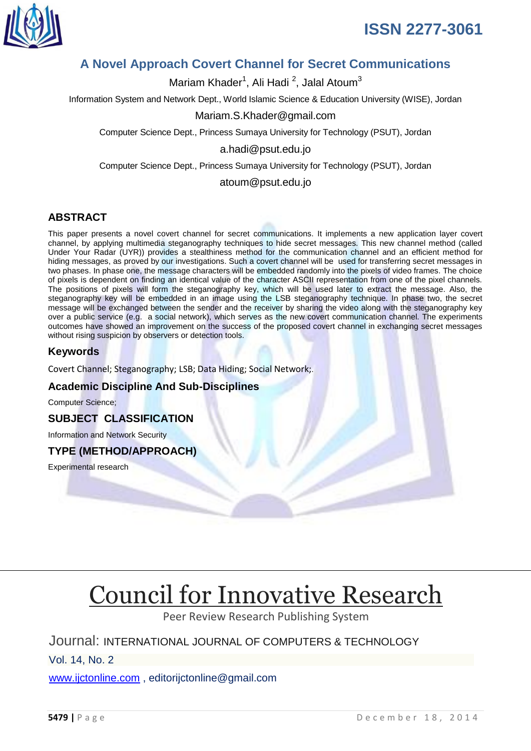

## **A Novel Approach Covert Channel for Secret Communications**

Mariam Khader<sup>1</sup>, Ali Hadi <sup>2</sup>, Jalal Atoum<sup>3</sup>

Information System and Network Dept., World Islamic Science & Education University (WISE), Jordan

#### Mariam.S.Khader@gmail.com

Computer Science Dept., Princess Sumaya University for Technology (PSUT), Jordan

#### a.hadi@psut.edu.jo

Computer Science Dept., Princess Sumaya University for Technology (PSUT), Jordan

#### atoum@psut.edu.jo

#### **ABSTRACT**

This paper presents a novel covert channel for secret communications. It implements a new application layer covert channel, by applying multimedia steganography techniques to hide secret messages. This new channel method (called Under Your Radar (UYR)) provides a stealthiness method for the communication channel and an efficient method for hiding messages, as proved by our investigations. Such a covert channel will be used for transferring secret messages in two phases. In phase one, the message characters will be embedded randomly into the pixels of video frames. The choice of pixels is dependent on finding an identical value of the character ASCII representation from one of the pixel channels. The positions of pixels will form the steganography key, which will be used later to extract the message. Also, the steganography key will be embedded in an image using the LSB steganography technique. In phase two, the secret message will be exchanged between the sender and the receiver by sharing the video along with the steganography key over a public service (e.g. a social network), which serves as the new covert communication channel. The experiments outcomes have showed an improvement on the success of the proposed covert channel in exchanging secret messages without rising suspicion by observers or detection tools.

#### **Keywords**

Covert Channel; Steganography; LSB; Data Hiding; Social Network;.

#### **Academic Discipline And Sub-Disciplines**

Computer Science;

#### **SUBJECT CLASSIFICATION**

Information and Network Security

#### **TYPE (METHOD/APPROACH)**

Experimental research

# [Council for Innovative Research](http://member.cirworld.com/)

Peer Review Research Publishing System

### Journal: INTERNATIONAL JOURNAL OF COMPUTERS & TECHNOLOGY

Vol. 14, No. 2

[www.ijctonline.com](http://www.ijctonline.com/) , editorijctonline@gmail.com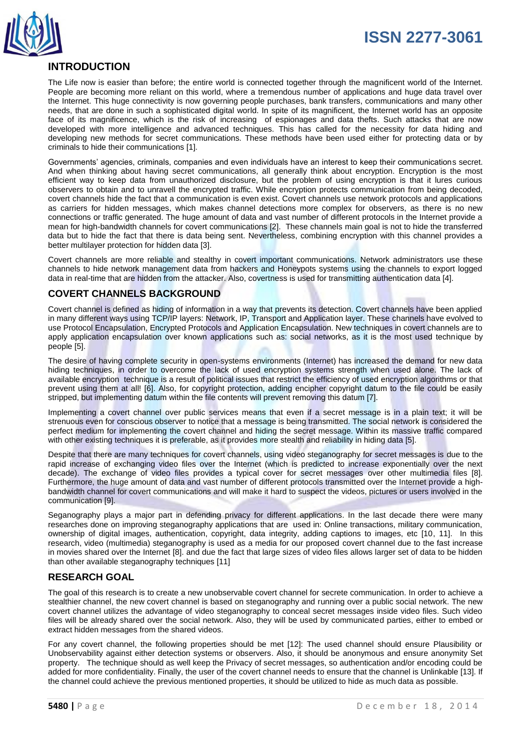



### **INTRODUCTION**

The Life now is easier than before; the entire world is connected together through the magnificent world of the Internet. People are becoming more reliant on this world, where a tremendous number of applications and huge data travel over the Internet. This huge connectivity is now governing people purchases, bank transfers, communications and many other needs, that are done in such a sophisticated digital world. In spite of its magnificent, the Internet world has an opposite face of its magnificence, which is the risk of increasing of espionages and data thefts. Such attacks that are now developed with more intelligence and advanced techniques. This has called for the necessity for data hiding and developing new methods for secret communications. These methods have been used either for protecting data or by criminals to hide their communications [1].

Governments' agencies, criminals, companies and even individuals have an interest to keep their communications secret. And when thinking about having secret communications, all generally think about encryption. Encryption is the most efficient way to keep data from unauthorized disclosure, but the problem of using encryption is that it lures curious observers to obtain and to unravell the encrypted traffic. While encryption protects communication from being decoded, covert channels hide the fact that a communication is even exist. Covert channels use network protocols and applications as carriers for hidden messages, which makes channel detections more complex for observers, as there is no new connections or traffic generated. The huge amount of data and vast number of different protocols in the Internet provide a mean for high-bandwidth channels for covert communications [2]. These channels main goal is not to hide the transferred data but to hide the fact that there is data being sent. Nevertheless, combining encryption with this channel provides a better multilayer protection for hidden data [3].

Covert channels are more reliable and stealthy in covert important communications. Network administrators use these channels to hide network management data from hackers and Honeypots systems using the channels to export logged data in real-time that are hidden from the attacker. Also, covertness is used for transmitting authentication data [4].

#### **COVERT CHANNELS BACKGROUND**

Covert channel is defined as hiding of information in a way that prevents its detection. Covert channels have been applied in many different ways using TCP/IP layers: Network, IP, Transport and Application layer. These channels have evolved to use Protocol Encapsulation, Encrypted Protocols and Application Encapsulation. New techniques in covert channels are to apply application encapsulation over known applications such as: social networks, as it is the most used technique by people [5].

The desire of having complete security in open-systems environments (Internet) has increased the demand for new data hiding techniques, in order to overcome the lack of used encryption systems strength when used alone. The lack of available encryption technique is a result of political issues that restrict the efficiency of used encryption algorithms or that prevent using them at all! [6]. Also, for copyright protection, adding encipher copyright datum to the file could be easily stripped, but implementing datum within the file contents will prevent removing this datum [7].

Implementing a covert channel over public services means that even if a secret message is in a plain text; it will be strenuous even for conscious observer to notice that a message is being transmitted. The social network is considered the perfect medium for implementing the covert channel and hiding the secret message. Within its massive traffic compared with other existing techniques it is preferable, as it provides more stealth and reliability in hiding data [5].

Despite that there are many techniques for covert channels, using video steganography for secret messages is due to the rapid increase of exchanging video files over the Internet (which is predicted to increase exponentially over the next decade). The exchange of video files provides a typical cover for secret messages over other multimedia files [8]. Furthermore, the huge amount of data and vast number of different protocols transmitted over the Internet provide a highbandwidth channel for covert communications and will make it hard to suspect the videos, pictures or users involved in the communication [9].

Seganography plays a major part in defending privacy for different applications. In the last decade there were many researches done on improving steganography applications that are used in: Online transactions, military communication, ownership of digital images, authentication, copyright, data integrity, adding captions to images, etc [10, 11]. In this research, video (multimedia) steganography is used as a media for our proposed covert channel due to the fast increase in movies shared over the Internet [8]. and due the fact that large sizes of video files allows larger set of data to be hidden than other available steganography techniques [11]

#### **RESEARCH GOAL**

The goal of this research is to create a new unobservable covert channel for secrete communication. In order to achieve a stealthier channel, the new covert channel is based on steganography and running over a public social network. The new covert channel utilizes the advantage of video steganography to conceal secret messages inside video files. Such video files will be already shared over the social network. Also, they will be used by communicated parties, either to embed or extract hidden messages from the shared videos.

For any covert channel, the following properties should be met [12]: The used channel should ensure Plausibility or Unobservability against either detection systems or observers. Also, it should be anonymous and ensure anonymity Set property. The technique should as well keep the Privacy of secret messages, so authentication and/or encoding could be added for more confidentiality. Finally, the user of the covert channel needs to ensure that the channel is Unlinkable [13]. If the channel could achieve the previous mentioned properties, it should be utilized to hide as much data as possible.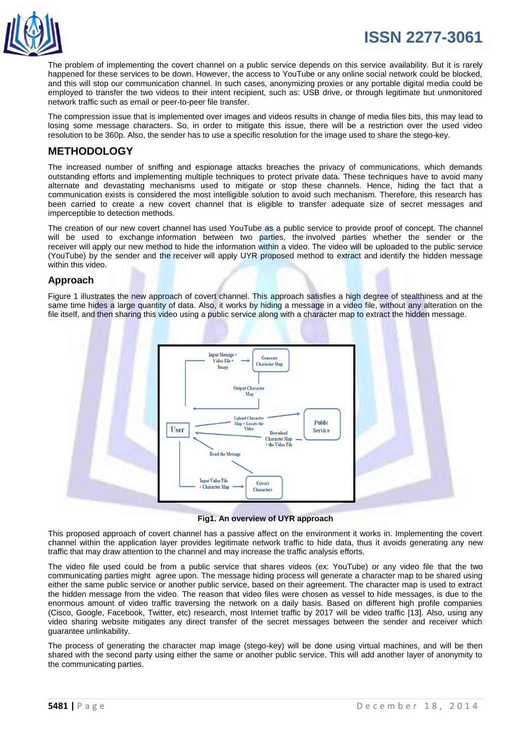

The problem of implementing the covert channel on a public service depends on this service availability. But it is rarely happened for these services to be down. However, the access to YouTube or any online social network could be blocked, and this will stop our communication channel. In such cases, anonymizing proxies or any portable digital media could be employed to transfer the two videos to their intent recipient, such as: USB drive, or through legitimate but unmonitored network traffic such as email or peer-to-peer file transfer.

The compression issue that is implemented over images and videos results in change of media files bits, this may lead to losing some message characters. So, in order to mitigate this issue, there will be a restriction over the used video resolution to be 360p. Also, the sender has to use a specific resolution for the image used to share the stego-key.

### **METHODOLOGY**

The increased number of sniffing and espionage attacks breaches the privacy of communications, which demands outstanding efforts and implementing multiple techniques to protect private data. These techniques have to avoid many alternate and devastating mechanisms used to mitigate or stop these channels. Hence, hiding the fact that a communication exists is considered the most intelligible solution to avoid such mechanism. Therefore, this research has been carried to create a new covert channel that is eligible to transfer adequate size of secret messages and imperceptible to detection methods.

The creation of our new covert channel has used YouTube as a public service to provide proof of concept. The channel will be used to exchange information between two parties, the involved parties whether the sender or the receiver will apply our new method to hide the information within a video. The video will be uploaded to the public service (YouTube) by the sender and the receiver will apply UYR proposed method to extract and identify the hidden message within this video.

#### **Approach**

Figure 1 illustrates the new approach of covert channel. This approach satisfies a high degree of stealthiness and at the same time hides a large quantity of data. Also, it works by hiding a message in a video file, without any alteration on the file itself, and then sharing this video using a public service along with a character map to extract the hidden message.



**Fig1. An overview of UYR approach**

This proposed approach of covert channel has a passive affect on the environment it works in. Implementing the covert channel within the application layer provides legitimate network traffic to hide data, thus it avoids generating any new traffic that may draw attention to the channel and may increase the traffic analysis efforts.

The video file used could be from a public service that shares videos (ex: YouTube) or any video file that the two communicating parties might agree upon. The message hiding process will generate a character map to be shared using either the same public service or another public service, based on their agreement. The character map is used to extract the hidden message from the video. The reason that video files were chosen as vessel to hide messages, is due to the enormous amount of video traffic traversing the network on a daily basis. Based on different high profile companies (Cisco, Google, Facebook, Twitter, etc) research, most Internet traffic by 2017 will be video traffic [13]. Also, using any video sharing website mitigates any direct transfer of the secret messages between the sender and receiver which guarantee unlinkability.

The process of generating the character map image (stego-key) will be done using virtual machines, and will be then shared with the second party using either the same or another public service. This will add another layer of anonymity to the communicating parties.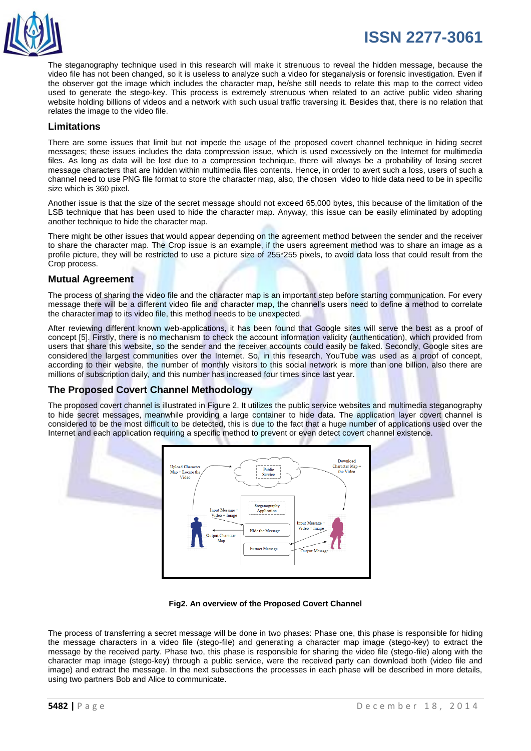

The steganography technique used in this research will make it strenuous to reveal the hidden message, because the video file has not been changed, so it is useless to analyze such a video for steganalysis or forensic investigation. Even if the observer got the image which includes the character map, he/she still needs to relate this map to the correct video used to generate the stego-key. This process is extremely strenuous when related to an active public video sharing website holding billions of videos and a network with such usual traffic traversing it. Besides that, there is no relation that relates the image to the video file.

#### **Limitations**

There are some issues that limit but not impede the usage of the proposed covert channel technique in hiding secret messages; these issues includes the data compression issue, which is used excessively on the Internet for multimedia files. As long as data will be lost due to a compression technique, there will always be a probability of losing secret message characters that are hidden within multimedia files contents. Hence, in order to avert such a loss, users of such a channel need to use PNG file format to store the character map, also, the chosen video to hide data need to be in specific size which is 360 pixel.

Another issue is that the size of the secret message should not exceed 65,000 bytes, this because of the limitation of the LSB technique that has been used to hide the character map. Anyway, this issue can be easily eliminated by adopting another technique to hide the character map.

There might be other issues that would appear depending on the agreement method between the sender and the receiver to share the character map. The Crop issue is an example, if the users agreement method was to share an image as a profile picture, they will be restricted to use a picture size of 255\*255 pixels, to avoid data loss that could result from the Crop process.

#### **Mutual Agreement**

The process of sharing the video file and the character map is an important step before starting communication. For every message there will be a different video file and character map, the channel's users need to define a method to correlate the character map to its video file, this method needs to be unexpected.

After reviewing different known web-applications, it has been found that Google sites will serve the best as a proof of concept [5]. Firstly, there is no mechanism to check the account information validity (authentication), which provided from users that share this website, so the sender and the receiver accounts could easily be faked. Secondly, Google sites are considered the largest communities over the Internet. So, in this research, YouTube was used as a proof of concept, according to their website, the number of monthly visitors to this social network is more than one billion, also there are millions of subscription daily, and this number has increased four times since last year.

#### **The Proposed Covert Channel Methodology**

The proposed covert channel is illustrated in Figure 2. It utilizes the public service websites and multimedia steganography to hide secret messages, meanwhile providing a large container to hide data. The application layer covert channel is considered to be the most difficult to be detected, this is due to the fact that a huge number of applications used over the Internet and each application requiring a specific method to prevent or even detect covert channel existence.



#### **Fig2. An overview of the Proposed Covert Channel**

The process of transferring a secret message will be done in two phases: Phase one, this phase is responsible for hiding the message characters in a video file (stego-file) and generating a character map image (stego-key) to extract the message by the received party. Phase two, this phase is responsible for sharing the video file (stego-file) along with the character map image (stego-key) through a public service, were the received party can download both (video file and image) and extract the message. In the next subsections the processes in each phase will be described in more details, using two partners Bob and Alice to communicate.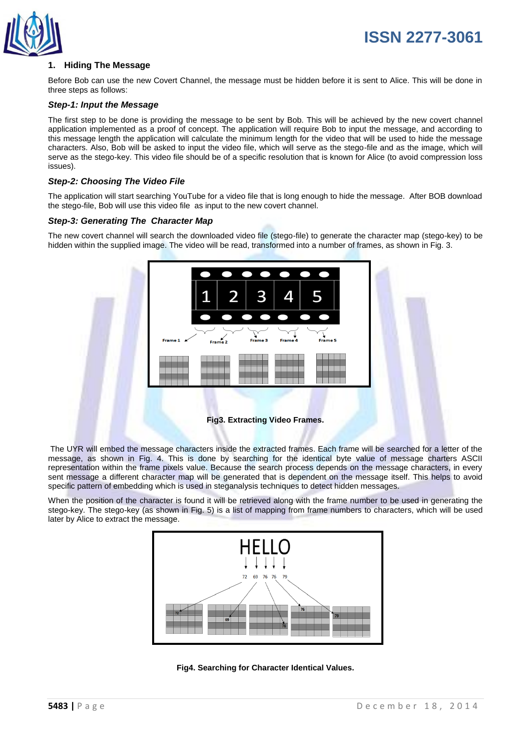

#### **1. Hiding The Message**

Before Bob can use the new Covert Channel, the message must be hidden before it is sent to Alice. This will be done in three steps as follows:

#### *Step-1: Input the Message*

The first step to be done is providing the message to be sent by Bob. This will be achieved by the new covert channel application implemented as a proof of concept. The application will require Bob to input the message, and according to this message length the application will calculate the minimum length for the video that will be used to hide the message characters. Also, Bob will be asked to input the video file, which will serve as the stego-file and as the image, which will serve as the stego-key. This video file should be of a specific resolution that is known for Alice (to avoid compression loss issues).

#### *Step-2: Choosing The Video File*

The application will start searching YouTube for a video file that is long enough to hide the message. After BOB download the stego-file, Bob will use this video file as input to the new covert channel.

#### *Step-3: Generating The Character Map*

The new covert channel will search the downloaded video file (stego-file) to generate the character map (stego-key) to be hidden within the supplied image. The video will be read, transformed into a number of frames, as shown in Fig. 3.



The UYR will embed the message characters inside the extracted frames. Each frame will be searched for a letter of the message, as shown in Fig. 4. This is done by searching for the identical byte value of message charters ASCII representation within the frame pixels value. Because the search process depends on the message characters, in every sent message a different character map will be generated that is dependent on the message itself. This helps to avoid specific pattern of embedding which is used in steganalysis techniques to detect hidden messages.

When the position of the character is found it will be retrieved along with the frame number to be used in generating the stego-key. The stego-key (as shown in Fig. 5) is a list of mapping from frame numbers to characters, which will be used later by Alice to extract the message.



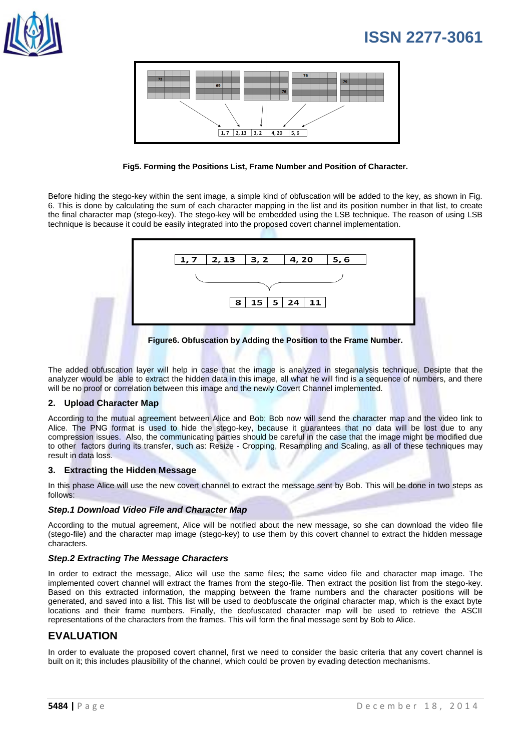





Before hiding the stego-key within the sent image, a simple kind of obfuscation will be added to the key, as shown in Fig. 6. This is done by calculating the sum of each character mapping in the list and its position number in that list, to create the final character map (stego-key). The stego-key will be embedded using the LSB technique. The reason of using LSB technique is because it could be easily integrated into the proposed covert channel implementation.



The added obfuscation layer will help in case that the image is analyzed in steganalysis technique. Desipte that the analyzer would be able to extract the hidden data in this image, all what he will find is a sequence of numbers, and there will be no proof or correlation between this image and the newly Covert Channel implemented.

#### **2. Upload Character Map**

According to the mutual agreement between Alice and Bob; Bob now will send the character map and the video link to Alice. The PNG format is used to hide the stego-key, because it guarantees that no data will be lost due to any compression issues. Also, the communicating parties should be careful in the case that the image might be modified due to other factors during its transfer, such as: Resize - Cropping, Resampling and Scaling, as all of these techniques may result in data loss.

#### **3. Extracting the Hidden Message**

In this phase Alice will use the new covert channel to extract the message sent by Bob. This will be done in two steps as follows:

#### *Step.1 Download Video File and Character Map*

According to the mutual agreement, Alice will be notified about the new message, so she can download the video file (stego-file) and the character map image (stego-key) to use them by this covert channel to extract the hidden message characters.

#### *Step.2 Extracting The Message Characters*

In order to extract the message, Alice will use the same files; the same video file and character map image. The implemented covert channel will extract the frames from the stego-file. Then extract the position list from the stego-key. Based on this extracted information, the mapping between the frame numbers and the character positions will be generated, and saved into a list. This list will be used to deobfuscate the original character map, which is the exact byte locations and their frame numbers. Finally, the deofuscated character map will be used to retrieve the ASCII representations of the characters from the frames. This will form the final message sent by Bob to Alice.

#### **EVALUATION**

In order to evaluate the proposed covert channel, first we need to consider the basic criteria that any covert channel is built on it; this includes plausibility of the channel, which could be proven by evading detection mechanisms.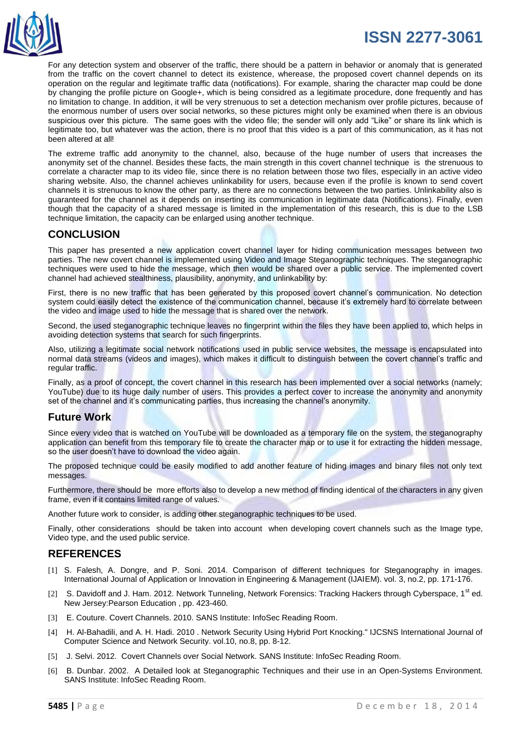

For any detection system and observer of the traffic, there should be a pattern in behavior or anomaly that is generated from the traffic on the covert channel to detect its existence, wherease, the proposed covert channel depends on its operation on the regular and legitimate traffic data (notifications). For example, sharing the character map could be done by changing the profile picture on Google+, which is being considred as a legitimate procedure, done frequently and has no limitation to change. In addition, it will be very strenuous to set a detection mechanism over profile pictures, because of the enormous number of users over social networks, so these pictures might only be examined when there is an obvious suspicious over this picture. The same goes with the video file; the sender will only add "Like" or share its link which is legitimate too, but whatever was the action, there is no proof that this video is a part of this communication, as it has not been altered at all!

The extreme traffic add anonymity to the channel, also, because of the huge number of users that increases the anonymity set of the channel. Besides these facts, the main strength in this covert channel technique is the strenuous to correlate a character map to its video file, since there is no relation between those two files, especially in an active video sharing website. Also, the channel achieves unlinkability for users, because even if the profile is known to send covert channels it is strenuous to know the other party, as there are no connections between the two parties. Unlinkability also is guaranteed for the channel as it depends on inserting its communication in legitimate data (Notifications). Finally, even though that the capacity of a shared message is limited in the implementation of this research, this is due to the LSB technique limitation, the capacity can be enlarged using another technique.

#### **CONCLUSION**

This paper has presented a new application covert channel layer for hiding communication messages between two parties. The new covert channel is implemented using Video and Image Steganographic techniques. The steganographic techniques were used to hide the message, which then would be shared over a public service. The implemented covert channel had achieved stealthiness, plausibility, anonymity, and unlinkability by:

First, there is no new traffic that has been generated by this proposed covert channel's communication. No detection system could easily detect the existence of the communication channel, because it's extremely hard to correlate between the video and image used to hide the message that is shared over the network.

Second, the used steganographic technique leaves no fingerprint within the files they have been applied to, which helps in avoiding detection systems that search for such fingerprints.

Also, utilizing a legitimate social network notifications used in public service websites, the message is encapsulated into normal data streams (videos and images), which makes it difficult to distinguish between the covert channel's traffic and regular traffic.

Finally, as a proof of concept, the covert channel in this research has been implemented over a social networks (namely; YouTube) due to its huge daily number of users. This provides a perfect cover to increase the anonymity and anonymity set of the channel and it's communicating parties, thus increasing the channel's anonymity.

#### **Future Work**

Since every video that is watched on YouTube will be downloaded as a temporary file on the system, the steganography application can benefit from this temporary file to create the character map or to use it for extracting the hidden message, so the user doesn't have to download the video again.

The proposed technique could be easily modified to add another feature of hiding images and binary files not only text messages.

Furthermore, there should be more efforts also to develop a new method of finding identical of the characters in any given frame, even if it contains limited range of values.

Another future work to consider, is adding other steganographic techniques to be used.

Finally, other considerations should be taken into account when developing covert channels such as the Image type, Video type, and the used public service.

### **REFERENCES**

- [1] S. Falesh, A. Dongre, and P. Soni. 2014. Comparison of different techniques for Steganography in images. International Journal of Application or Innovation in Engineering & Management (IJAIEM). vol. 3, no.2, pp. 171-176.
- [2] S. Davidoff and J. Ham. 2012. Network Tunneling, Network Forensics: Tracking Hackers through Cyberspace, 1<sup>st</sup> ed. New Jersey:Pearson Education , pp. 423-460.
- [3] E. Couture. Covert Channels. 2010. SANS Institute: InfoSec Reading Room.
- [4] H. Al-Bahadili, and A. H. Hadi. 2010 . Network Security Using Hybrid Port Knocking." IJCSNS International Journal of Computer Science and Network Security. vol.10, no.8, pp. 8-12.
- [5] J. Selvi. 2012. Covert Channels over Social Network. SANS Institute: InfoSec Reading Room.
- [6] B. Dunbar. 2002. A Detailed look at Steganographic Techniques and their use in an Open-Systems Environment. SANS Institute: InfoSec Reading Room.